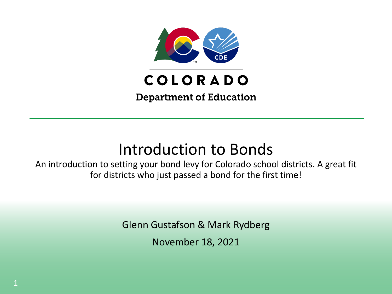

## Introduction to Bonds

An introduction to setting your bond levy for Colorado school districts. A great fit for districts who just passed a bond for the first time!

Glenn Gustafson & Mark Rydberg

November 18, 2021

1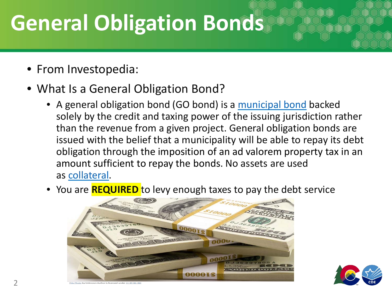# **General Obligation Bonds**

- From Investopedia:
- What Is a General Obligation Bond?
	- A general obligation bond (GO bond) is a [municipal bond](https://www.investopedia.com/terms/m/municipalbond.asp) backed solely by the credit and taxing power of the issuing jurisdiction rather than the revenue from a given project. General obligation bonds are issued with the belief that a municipality will be able to repay its debt obligation through the imposition of an ad valorem property tax in an amount sufficient to repay the bonds. No assets are used as [collateral](https://www.investopedia.com/terms/c/collateral.asp).
	- You are **REQUIRED** to levy enough taxes to pay the debt service



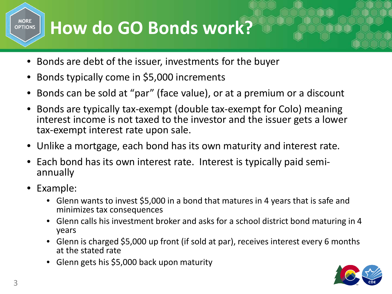## **How do GO Bonds work?**

- Bonds are debt of the issuer, investments for the buyer
- Bonds typically come in \$5,000 increments
- Bonds can be sold at "par" (face value), or at a premium or a discount
- Bonds are typically tax-exempt (double tax-exempt for Colo) meaning interest income is not taxed to the investor and the issuer gets a lower tax-exempt interest rate upon sale.
- Unlike a mortgage, each bond has its own maturity and interest rate.
- Each bond has its own interest rate. Interest is typically paid semi- annually
- Example:

**MORE OPTIONS** 

- Glenn wants to invest \$5,000 in a bond that matures in 4 years that is safe and minimizes tax consequences
- Glenn calls his investment broker and asks for a school district bond maturing in 4 years
- Glenn is charged \$5,000 up front (if sold at par), receives interest every 6 months at the stated rate
- Glenn gets his \$5,000 back upon maturity

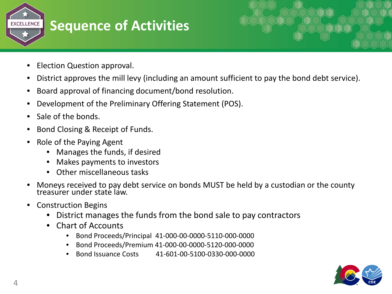

- Election Question approval.
- District approves the mill levy (including an amount sufficient to pay the bond debt service).
- Board approval of financing document/bond resolution.
- Development of the Preliminary Offering Statement (POS).
- Sale of the bonds.
- Bond Closing & Receipt of Funds.
- Role of the Paying Agent
	- Manages the funds, if desired
	- Makes payments to investors
	- Other miscellaneous tasks
- Moneys received to pay debt service on bonds MUST be held by a custodian or the county treasurer under state law.
- Construction Begins
	- District manages the funds from the bond sale to pay contractors
	- Chart of Accounts
		- Bond Proceeds/Principal 41-000-00-0000-5110-000-0000
		- Bond Proceeds/Premium 41-000-00-0000-5120-000-0000
		- Bond Issuance Costs 41-601-00-5100-0330-000-0000

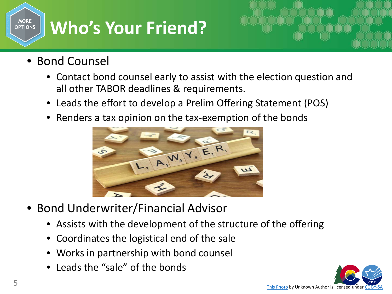# **Who's Your Friend?**

• Bond Counsel

**MORE OPTIONS** 

- Contact bond counsel early to assist with the election question and all other TABOR deadlines & requirements.
- Leads the effort to develop a Prelim Offering Statement (POS)
- Renders a tax opinion on the tax-exemption of the bonds



- Bond Underwriter/Financial Advisor
	- Assists with the development of the structure of the offering
	- Coordinates the logistical end of the sale
	- Works in partnership with bond counsel
	- Leads the "sale" of the bonds

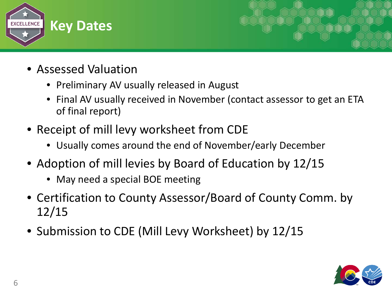

- Assessed Valuation
	- Preliminary AV usually released in August
	- Final AV usually received in November (contact assessor to get an ETA of final report)
- Receipt of mill levy worksheet from CDE
	- Usually comes around the end of November/early December
- Adoption of mill levies by Board of Education by 12/15
	- May need a special BOE meeting
- Certification to County Assessor/Board of County Comm. by 12/15
- Submission to CDE (Mill Levy Worksheet) by 12/15

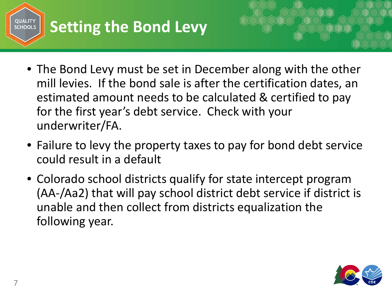

- The Bond Levy must be set in December along with the other mill levies. If the bond sale is after the certification dates, an estimated amount needs to be calculated & certified to pay for the first year's debt service. Check with your underwriter/FA.
- Failure to levy the property taxes to pay for bond debt service could result in a default
- Colorado school districts qualify for state intercept program (AA-/Aa2) that will pay school district debt service if district is unable and then collect from districts equalization the following year.

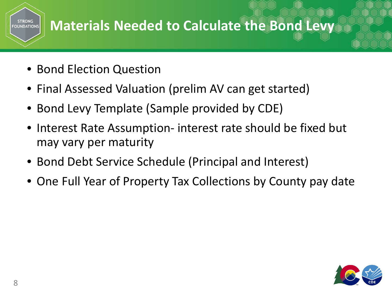#### **Materials Needed to Calculate the Bond Levy FOUNDATIONS**

- Bond Election Question
- Final Assessed Valuation (prelim AV can get started)
- Bond Levy Template (Sample provided by CDE)
- Interest Rate Assumption- interest rate should be fixed but may vary per maturity
- Bond Debt Service Schedule (Principal and Interest)
- One Full Year of Property Tax Collections by County pay date



**STRONG**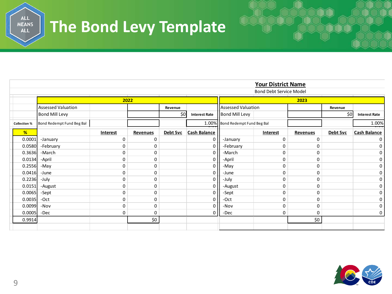### ALL<br>MEANS<br>ALL **The Bond Levy Template**

| <b>Your District Name</b>      |                           |          |          |          |                      |                                 |          |          |          |                      |
|--------------------------------|---------------------------|----------|----------|----------|----------------------|---------------------------------|----------|----------|----------|----------------------|
| <b>Bond Debt Service Model</b> |                           |          |          |          |                      |                                 |          |          |          |                      |
|                                | 2022                      |          |          |          |                      | 2023                            |          |          |          |                      |
|                                | <b>Assessed Valuation</b> |          |          | Revenue  |                      | <b>Assessed Valuation</b>       |          |          | Revenue  |                      |
|                                | <b>Bond Mill Levy</b>     |          |          | \$0      | <b>Interest Rate</b> | Bond Mill Levy                  |          |          | \$0      | <b>Interest Rate</b> |
| <b>Collection %</b>            | Bond Redempt Fund Beg Bal |          |          |          |                      | 1.00% Bond Redempt Fund Beg Bal |          |          |          | 1.00%                |
| %                              |                           | Interest | Revenues | Debt Svc | Cash Balance         |                                 | Interest | Revenues | Debt Svc | <b>Cash Balance</b>  |
| 0.0001                         | -January                  | 0        | 0        |          | 0                    | -January                        | 0        | 0        |          | 0                    |
| 0.0580                         | -February                 | 0        | 0        |          | $\Omega$             | -February                       | 0        | 0        |          | 0                    |
| 0.3636                         | -March                    | 0        | 0        |          | 0                    | -March                          | 0        | 0        |          | 0                    |
| 0.0134                         | -April                    | 0        | 0        |          | 0                    | -April                          | 0        | 0        |          | 0                    |
| 0.2556                         | -May                      | 0        | 0        |          | 0                    | -May                            | 0        | 0        |          | 0                    |
| 0.0416                         | -June                     | 0        | 0        |          | 0                    | -June                           | 0        | 0        |          | 0                    |
| 0.2236                         | -July                     | 0        | 0        |          | 0                    | -July                           | 0        | 0        |          | 0                    |
| 0.0151                         | -August                   | 0        | 0        |          | 0                    | -August                         | 0        | 0        |          | 0                    |
| 0.0065                         | -Sept                     | 0        | 0        |          |                      | -Sept                           | 0        | 0        |          | 0                    |
| 0.0035                         | -Oct                      | 0        | 0        |          | 0                    | -Oct                            | 0        | 0        |          | 0                    |
| 0.0099                         | -Nov                      | 0        | 0        |          | 0                    | -Nov                            | 0        | 0        |          | 0                    |
| 0.0005                         | -Dec                      | 0        | 0        |          | 0                    | -Dec                            | 0        | 0        |          | 0                    |
| 0.9914                         |                           |          | \$0      |          |                      |                                 |          | \$0      |          |                      |
|                                |                           |          |          |          |                      |                                 |          |          |          |                      |

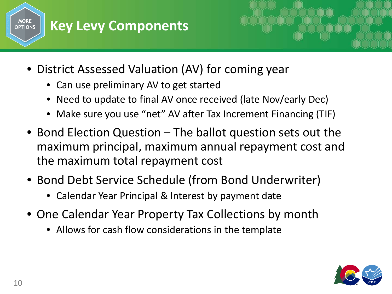



- Can use preliminary AV to get started
- Need to update to final AV once received (late Nov/early Dec)
- Make sure you use "net" AV after Tax Increment Financing (TIF)
- Bond Election Question The ballot question sets out the maximum principal, maximum annual repayment cost and the maximum total repayment cost
- Bond Debt Service Schedule (from Bond Underwriter)
	- Calendar Year Principal & Interest by payment date
- One Calendar Year Property Tax Collections by month
	- Allows for cash flow considerations in the template

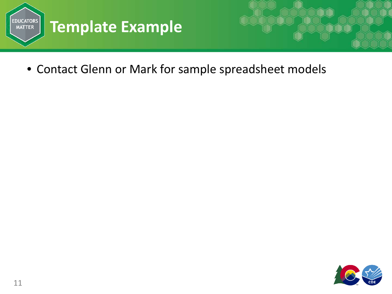



• Contact Glenn or Mark for sample spreadsheet models

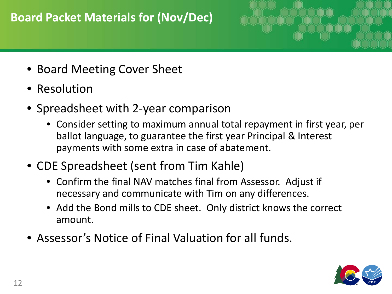### **Board Packet Materials for (Nov/Dec)**



- Board Meeting Cover Sheet
- Resolution
- Spreadsheet with 2-year comparison
	- Consider setting to maximum annual total repayment in first year, per ballot language, to guarantee the first year Principal & Interest payments with some extra in case of abatement.
- CDE Spreadsheet (sent from Tim Kahle)
	- Confirm the final NAV matches final from Assessor. Adjust if necessary and communicate with Tim on any differences.
	- Add the Bond mills to CDE sheet. Only district knows the correct amount.
- Assessor's Notice of Final Valuation for all funds.

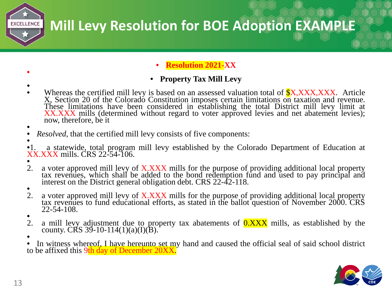

• **Resolution 2021-XX**

#### • **Property Tax Mill Levy**

•

•

- Whereas the certified mill levy is based on an assessed valuation total of **\$X,XXX,XXX**. Article X, Section 20 of the Colorado Constitution imposes certain limitations on taxation and revenue.<br>These limitations have been considered in establishing the total District mill levy limit at XX.XXX mills (determined without regard to voter approved levies and net abatement levies); now, therefore, be it
- *Resolved*, that the certified mill levy consists of five components:
- •1. a statewide, total program mill levy established by the Colorado Department of Education at XX.XXX mills. CRS 22-54-106.<br>
• a voter approved mill levy of
- 
- 2. a voter approved mill levy of X.XXX mills for the purpose of providing additional local property tax revenues, which shall be added to the bond redemption fund and used to pay principal and interest on the District general obligation debt. CRS 22-42-118.<br>
2. a voter approved mill levy of XXXX mills for the purpose of
- 
- a voter approved mill levy of X.XXX mills for the purpose of providing additional local property tax revenues to fund educational efforts, as stated in the ballot question of November 2000. CRS  $\frac{22-54-108}{2}$ . a mill levy
- 
- a mill levy adjustment due to property tax abatements of  $0.XXX$  mills, as established by the county. CRS 39-10-114(1)(a)(I)(B).
- In witness whereof, I have hereunto set my hand and caused the official seal of said school district to be affixed this 9th day of December 20XX.

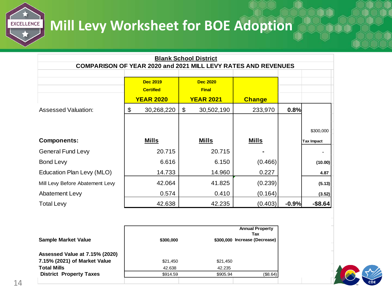## **Mill Levy Worksheet for BOE Adoption**

| <b>Blank School District</b>                                         |                  |                  |               |         |                   |  |  |
|----------------------------------------------------------------------|------------------|------------------|---------------|---------|-------------------|--|--|
| <b>COMPARISON OF YEAR 2020 and 2021 MILL LEVY RATES AND REVENUES</b> |                  |                  |               |         |                   |  |  |
|                                                                      |                  |                  |               |         |                   |  |  |
|                                                                      | <b>Dec 2019</b>  | <b>Dec 2020</b>  |               |         |                   |  |  |
|                                                                      | <b>Certified</b> | <b>Final</b>     |               |         |                   |  |  |
|                                                                      | <b>YEAR 2020</b> | <b>YEAR 2021</b> | <b>Change</b> |         |                   |  |  |
| <b>Assessed Valuation:</b>                                           | \$<br>30,268,220 | \$<br>30,502,190 | 233,970       | 0.8%    |                   |  |  |
|                                                                      |                  |                  |               |         |                   |  |  |
|                                                                      |                  |                  |               |         | \$300,000         |  |  |
| <b>Components:</b>                                                   | <u>Mills</u>     | <u>Mills</u>     | <b>Mills</b>  |         | <b>Tax Impact</b> |  |  |
| <b>General Fund Levy</b>                                             | 20.715           | 20.715           |               |         |                   |  |  |
| <b>Bond Levy</b>                                                     | 6.616            | 6.150            | (0.466)       |         | (10.00)           |  |  |
| Education Plan Levy (MLO)                                            | 14.733           | 14.960           | 0.227         |         | 4.87              |  |  |
| Mill Levy Before Abatement Levy                                      | 42.064           | 41.825           | (0.239)       |         | (5.13)            |  |  |
| Abatement Levy                                                       | 0.574            | 0.410            | (0.164)       |         | (3.52)            |  |  |
| <b>Total Levy</b>                                                    | 42.638           | 42.235           | (0.403)       | $-0.9%$ | $-$ \$8.64        |  |  |

| <b>Sample Market Value</b>     | \$300,000 |          | <b>Annual Property</b><br>Tax<br>\$300,000 Increase (Decrease) |
|--------------------------------|-----------|----------|----------------------------------------------------------------|
| Assessed Value at 7.15% (2020) |           |          |                                                                |
| 7.15% (2021) of Market Value   | \$21,450  | \$21,450 |                                                                |
| <b>Total Mills</b>             | 42.638    | 42.235   |                                                                |
| <b>District Property Taxes</b> | \$914.59  | \$905.94 | (\$8.64)                                                       |
|                                |           |          |                                                                |



**EXCELLENCE**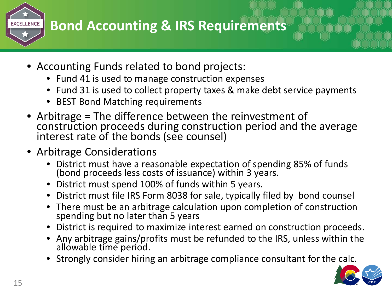### **Bond Accounting & IRS Requirements EXCELLENCE**

- Accounting Funds related to bond projects:
	- Fund 41 is used to manage construction expenses
	- Fund 31 is used to collect property taxes & make debt service payments
	- BEST Bond Matching requirements
- Arbitrage = The difference between the reinvestment of construction proceeds during construction period and the average interest rate of the bonds (see counsel)
- Arbitrage Considerations
	- District must have a reasonable expectation of spending 85% of funds (bond proceeds less costs of issuance) within 3 years.
	- District must spend 100% of funds within 5 years.
	- District must file IRS Form 8038 for sale, typically filed by bond counsel
	- There must be an arbitrage calculation upon completion of construction spending but no later than 5 years
	- District is required to maximize interest earned on construction proceeds.
	- Any arbitrage gains/profits must be refunded to the IRS, unless within the allowable time period.
	- Strongly consider hiring an arbitrage compliance consultant for the calc.